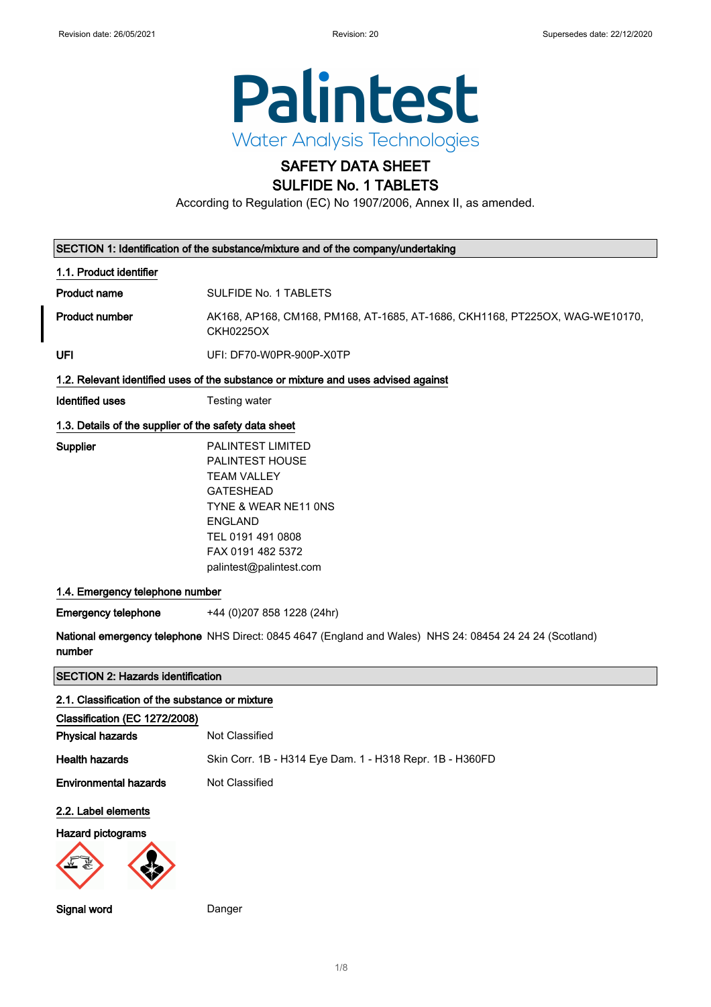

# SAFETY DATA SHEET

# SULFIDE No. 1 TABLETS

According to Regulation (EC) No 1907/2006, Annex II, as amended.

| SECTION 1: Identification of the substance/mixture and of the company/undertaking |                                                                                                                                                                                                      |  |  |
|-----------------------------------------------------------------------------------|------------------------------------------------------------------------------------------------------------------------------------------------------------------------------------------------------|--|--|
| 1.1. Product identifier                                                           |                                                                                                                                                                                                      |  |  |
| <b>Product name</b>                                                               | SULFIDE No. 1 TABLETS                                                                                                                                                                                |  |  |
| <b>Product number</b>                                                             | AK168, AP168, CM168, PM168, AT-1685, AT-1686, CKH1168, PT225OX, WAG-WE10170,<br><b>CKH0225OX</b>                                                                                                     |  |  |
| UFI                                                                               | UFI: DF70-W0PR-900P-X0TP                                                                                                                                                                             |  |  |
|                                                                                   | 1.2. Relevant identified uses of the substance or mixture and uses advised against                                                                                                                   |  |  |
| <b>Identified uses</b>                                                            | Testing water                                                                                                                                                                                        |  |  |
| 1.3. Details of the supplier of the safety data sheet                             |                                                                                                                                                                                                      |  |  |
| Supplier                                                                          | <b>PALINTEST LIMITED</b><br>PALINTEST HOUSE<br><b>TEAM VALLEY</b><br><b>GATESHEAD</b><br>TYNE & WEAR NE11 ONS<br><b>ENGLAND</b><br>TEL 0191 491 0808<br>FAX 0191 482 5372<br>palintest@palintest.com |  |  |
| 1.4. Emergency telephone number                                                   |                                                                                                                                                                                                      |  |  |
| <b>Emergency telephone</b>                                                        | +44 (0) 207 858 1228 (24hr)                                                                                                                                                                          |  |  |
| number                                                                            | National emergency telephone NHS Direct: 0845 4647 (England and Wales) NHS 24: 08454 24 24 24 (Scotland)                                                                                             |  |  |
|                                                                                   | <b>SECTION 2: Hazards identification</b>                                                                                                                                                             |  |  |
| 2.1. Classification of the substance or mixture                                   |                                                                                                                                                                                                      |  |  |
| Classification (EC 1272/2008)                                                     |                                                                                                                                                                                                      |  |  |
| <b>Physical hazards</b>                                                           | Not Classified                                                                                                                                                                                       |  |  |
| <b>Health hazards</b>                                                             | Skin Corr. 1B - H314 Eye Dam. 1 - H318 Repr. 1B - H360FD                                                                                                                                             |  |  |
| <b>Environmental hazards</b>                                                      | Not Classified                                                                                                                                                                                       |  |  |
| 2.2. Label elements                                                               |                                                                                                                                                                                                      |  |  |
| Hazard pictograms                                                                 |                                                                                                                                                                                                      |  |  |
| Signal word                                                                       | Danger                                                                                                                                                                                               |  |  |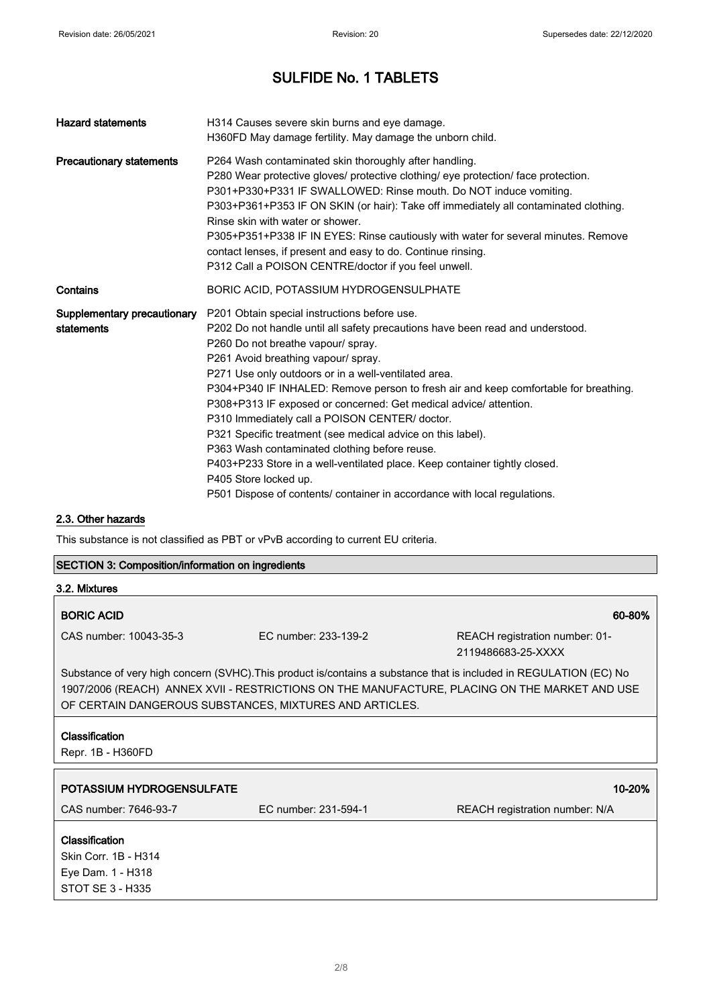| <b>Hazard statements</b>                  | H314 Causes severe skin burns and eye damage.<br>H360FD May damage fertility. May damage the unborn child.                                                                                                                                                                                                                                                                                                                                                                                                                                                                                                                                                                                                                                                                             |
|-------------------------------------------|----------------------------------------------------------------------------------------------------------------------------------------------------------------------------------------------------------------------------------------------------------------------------------------------------------------------------------------------------------------------------------------------------------------------------------------------------------------------------------------------------------------------------------------------------------------------------------------------------------------------------------------------------------------------------------------------------------------------------------------------------------------------------------------|
| <b>Precautionary statements</b>           | P264 Wash contaminated skin thoroughly after handling.<br>P280 Wear protective gloves/ protective clothing/ eye protection/ face protection.<br>P301+P330+P331 IF SWALLOWED: Rinse mouth. Do NOT induce vomiting.<br>P303+P361+P353 IF ON SKIN (or hair): Take off immediately all contaminated clothing.<br>Rinse skin with water or shower.<br>P305+P351+P338 IF IN EYES: Rinse cautiously with water for several minutes. Remove<br>contact lenses, if present and easy to do. Continue rinsing.<br>P312 Call a POISON CENTRE/doctor if you feel unwell.                                                                                                                                                                                                                            |
| Contains                                  | BORIC ACID, POTASSIUM HYDROGENSULPHATE                                                                                                                                                                                                                                                                                                                                                                                                                                                                                                                                                                                                                                                                                                                                                 |
| Supplementary precautionary<br>statements | P201 Obtain special instructions before use.<br>P202 Do not handle until all safety precautions have been read and understood.<br>P260 Do not breathe vapour/ spray.<br>P261 Avoid breathing vapour/ spray.<br>P271 Use only outdoors or in a well-ventilated area.<br>P304+P340 IF INHALED: Remove person to fresh air and keep comfortable for breathing.<br>P308+P313 IF exposed or concerned: Get medical advice/ attention.<br>P310 Immediately call a POISON CENTER/ doctor.<br>P321 Specific treatment (see medical advice on this label).<br>P363 Wash contaminated clothing before reuse.<br>P403+P233 Store in a well-ventilated place. Keep container tightly closed.<br>P405 Store locked up.<br>P501 Dispose of contents/ container in accordance with local regulations. |

## 2.3. Other hazards

This substance is not classified as PBT or vPvB according to current EU criteria.

## SECTION 3: Composition/information on ingredients

| 3.2. Mixtures                                                                                                                                                                                                                                                                  |                      |                                                      |
|--------------------------------------------------------------------------------------------------------------------------------------------------------------------------------------------------------------------------------------------------------------------------------|----------------------|------------------------------------------------------|
| <b>BORIC ACID</b>                                                                                                                                                                                                                                                              |                      | 60-80%                                               |
| CAS number: 10043-35-3                                                                                                                                                                                                                                                         | FC number: 233-139-2 | REACH registration number: 01-<br>2119486683-25-XXXX |
| Substance of very high concern (SVHC). This product is/contains a substance that is included in REGULATION (EC) No<br>1907/2006 (REACH) ANNEX XVII - RESTRICTIONS ON THE MANUFACTURE, PLACING ON THE MARKET AND USE<br>OF CERTAIN DANGEROUS SUBSTANCES, MIXTURES AND ARTICLES. |                      |                                                      |
| Classification<br>Repr. 1B - H360FD                                                                                                                                                                                                                                            |                      |                                                      |
| POTASSIUM HYDROGENSULFATE                                                                                                                                                                                                                                                      |                      | 10-20%                                               |
| CAS number: 7646-93-7                                                                                                                                                                                                                                                          | EC number: 231-594-1 | <b>REACH registration number: N/A</b>                |
| Classification<br>Skin Corr. 1B - H314<br>Eye Dam. 1 - H318<br>STOT SE 3 - H335                                                                                                                                                                                                |                      |                                                      |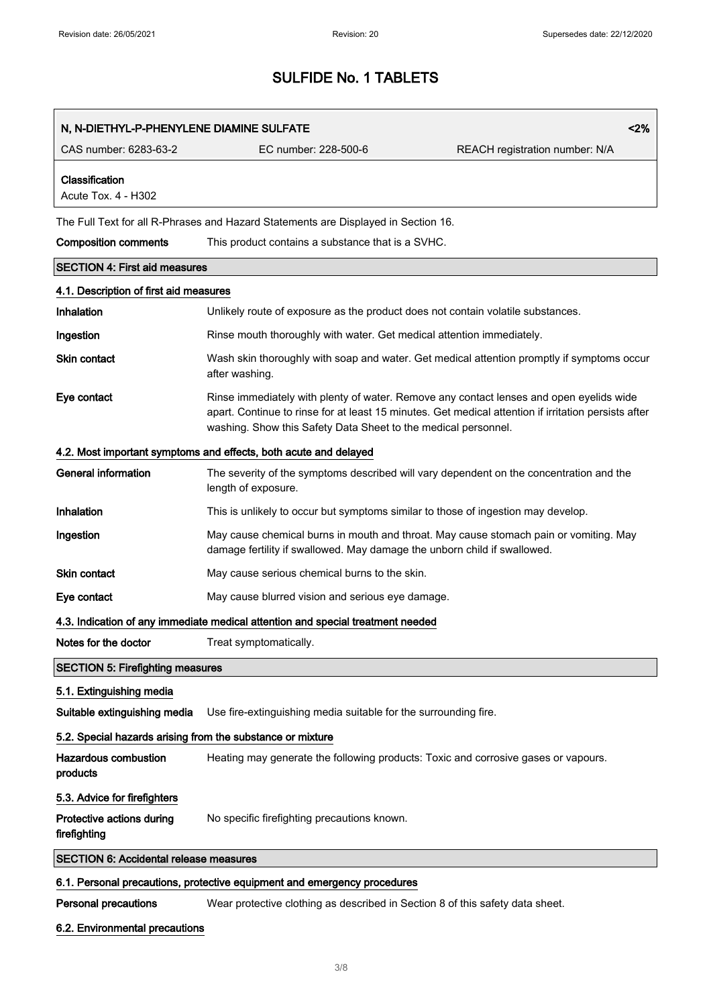| N, N-DIETHYL-P-PHENYLENE DIAMINE SULFATE                   |                                                                                                                                                                                                                                                                   | < 2%                           |
|------------------------------------------------------------|-------------------------------------------------------------------------------------------------------------------------------------------------------------------------------------------------------------------------------------------------------------------|--------------------------------|
| CAS number: 6283-63-2                                      | EC number: 228-500-6                                                                                                                                                                                                                                              | REACH registration number: N/A |
| Classification<br>Acute Tox. 4 - H302                      |                                                                                                                                                                                                                                                                   |                                |
|                                                            | The Full Text for all R-Phrases and Hazard Statements are Displayed in Section 16.                                                                                                                                                                                |                                |
| <b>Composition comments</b>                                | This product contains a substance that is a SVHC.                                                                                                                                                                                                                 |                                |
| <b>SECTION 4: First aid measures</b>                       |                                                                                                                                                                                                                                                                   |                                |
| 4.1. Description of first aid measures                     |                                                                                                                                                                                                                                                                   |                                |
| Inhalation                                                 | Unlikely route of exposure as the product does not contain volatile substances.                                                                                                                                                                                   |                                |
| Ingestion                                                  | Rinse mouth thoroughly with water. Get medical attention immediately.                                                                                                                                                                                             |                                |
| <b>Skin contact</b>                                        | Wash skin thoroughly with soap and water. Get medical attention promptly if symptoms occur<br>after washing.                                                                                                                                                      |                                |
| Eye contact                                                | Rinse immediately with plenty of water. Remove any contact lenses and open eyelids wide<br>apart. Continue to rinse for at least 15 minutes. Get medical attention if irritation persists after<br>washing. Show this Safety Data Sheet to the medical personnel. |                                |
|                                                            | 4.2. Most important symptoms and effects, both acute and delayed                                                                                                                                                                                                  |                                |
| <b>General information</b>                                 | The severity of the symptoms described will vary dependent on the concentration and the<br>length of exposure.                                                                                                                                                    |                                |
| Inhalation                                                 | This is unlikely to occur but symptoms similar to those of ingestion may develop.                                                                                                                                                                                 |                                |
| Ingestion                                                  | May cause chemical burns in mouth and throat. May cause stomach pain or vomiting. May<br>damage fertility if swallowed. May damage the unborn child if swallowed.                                                                                                 |                                |
| Skin contact                                               | May cause serious chemical burns to the skin.                                                                                                                                                                                                                     |                                |
| Eye contact                                                | May cause blurred vision and serious eye damage.                                                                                                                                                                                                                  |                                |
|                                                            | 4.3. Indication of any immediate medical attention and special treatment needed                                                                                                                                                                                   |                                |
| Notes for the doctor                                       | Treat symptomatically.                                                                                                                                                                                                                                            |                                |
| <b>SECTION 5: Firefighting measures</b>                    |                                                                                                                                                                                                                                                                   |                                |
| 5.1. Extinguishing media                                   |                                                                                                                                                                                                                                                                   |                                |
| Suitable extinguishing media                               | Use fire-extinguishing media suitable for the surrounding fire.                                                                                                                                                                                                   |                                |
| 5.2. Special hazards arising from the substance or mixture |                                                                                                                                                                                                                                                                   |                                |
| <b>Hazardous combustion</b><br>products                    | Heating may generate the following products: Toxic and corrosive gases or vapours.                                                                                                                                                                                |                                |
| 5.3. Advice for firefighters                               |                                                                                                                                                                                                                                                                   |                                |
| Protective actions during<br>firefighting                  | No specific firefighting precautions known.                                                                                                                                                                                                                       |                                |
| <b>SECTION 6: Accidental release measures</b>              |                                                                                                                                                                                                                                                                   |                                |
|                                                            | 6.1. Personal precautions, protective equipment and emergency procedures                                                                                                                                                                                          |                                |
| <b>Personal precautions</b>                                | Wear protective clothing as described in Section 8 of this safety data sheet.                                                                                                                                                                                     |                                |

## 6.2. Environmental precautions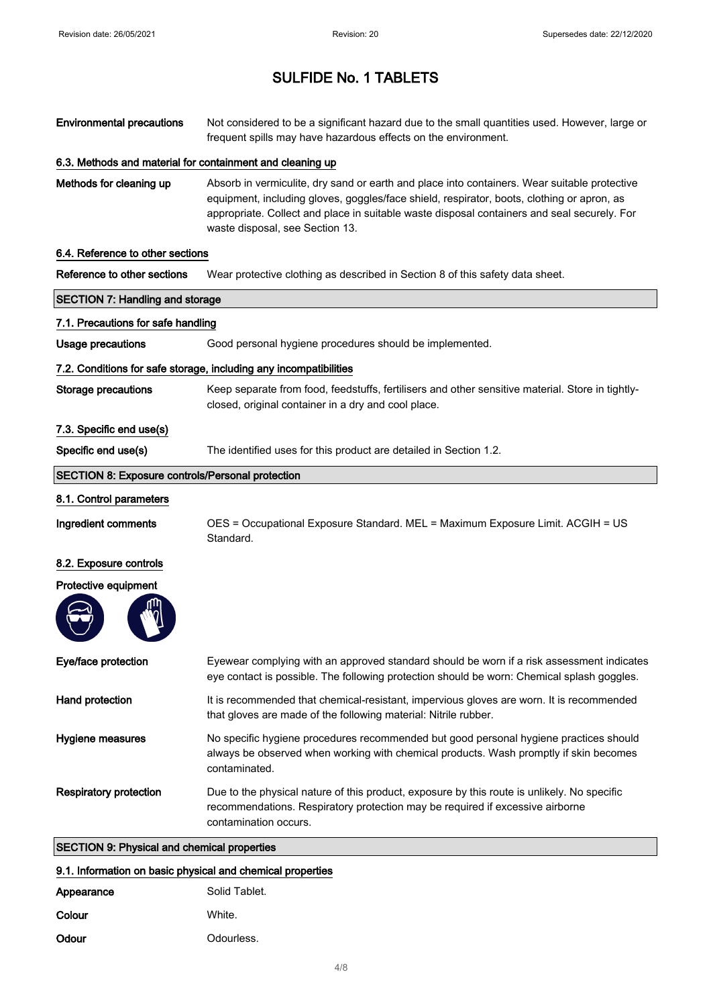| <b>Environmental precautions</b>                        | Not considered to be a significant hazard due to the small quantities used. However, large or<br>frequent spills may have hazardous effects on the environment.                                                                                                                                                              |
|---------------------------------------------------------|------------------------------------------------------------------------------------------------------------------------------------------------------------------------------------------------------------------------------------------------------------------------------------------------------------------------------|
|                                                         | 6.3. Methods and material for containment and cleaning up                                                                                                                                                                                                                                                                    |
| Methods for cleaning up                                 | Absorb in vermiculite, dry sand or earth and place into containers. Wear suitable protective<br>equipment, including gloves, goggles/face shield, respirator, boots, clothing or apron, as<br>appropriate. Collect and place in suitable waste disposal containers and seal securely. For<br>waste disposal, see Section 13. |
| 6.4. Reference to other sections                        |                                                                                                                                                                                                                                                                                                                              |
| Reference to other sections                             | Wear protective clothing as described in Section 8 of this safety data sheet.                                                                                                                                                                                                                                                |
| <b>SECTION 7: Handling and storage</b>                  |                                                                                                                                                                                                                                                                                                                              |
| 7.1. Precautions for safe handling                      |                                                                                                                                                                                                                                                                                                                              |
| Usage precautions                                       | Good personal hygiene procedures should be implemented.                                                                                                                                                                                                                                                                      |
|                                                         | 7.2. Conditions for safe storage, including any incompatibilities                                                                                                                                                                                                                                                            |
| <b>Storage precautions</b>                              | Keep separate from food, feedstuffs, fertilisers and other sensitive material. Store in tightly-<br>closed, original container in a dry and cool place.                                                                                                                                                                      |
| 7.3. Specific end use(s)                                |                                                                                                                                                                                                                                                                                                                              |
| Specific end use(s)                                     | The identified uses for this product are detailed in Section 1.2.                                                                                                                                                                                                                                                            |
| <b>SECTION 8: Exposure controls/Personal protection</b> |                                                                                                                                                                                                                                                                                                                              |

8.1. Control parameters

Ingredient comments OES = Occupational Exposure Standard. MEL = Maximum Exposure Limit. ACGIH = US Standard.

## 8.2. Exposure controls

Protective equipment

| ŢЩ |
|----|
|    |
|    |
|    |

| Eye/face protection           | Eyewear complying with an approved standard should be worn if a risk assessment indicates<br>eye contact is possible. The following protection should be worn: Chemical splash goggles.               |
|-------------------------------|-------------------------------------------------------------------------------------------------------------------------------------------------------------------------------------------------------|
| Hand protection               | It is recommended that chemical-resistant, impervious gloves are worn. It is recommended<br>that gloves are made of the following material: Nitrile rubber.                                           |
| Hygiene measures              | No specific hygiene procedures recommended but good personal hygiene practices should<br>always be observed when working with chemical products. Wash promptly if skin becomes<br>contaminated.       |
| <b>Respiratory protection</b> | Due to the physical nature of this product, exposure by this route is unlikely. No specific<br>recommendations. Respiratory protection may be required if excessive airborne<br>contamination occurs. |

## SECTION 9: Physical and chemical properties

## 9.1. Information on basic physical and chemical properties

| Appearance | Solid Tablet. |
|------------|---------------|
| Colour     | White.        |
| Odour      | Odourless.    |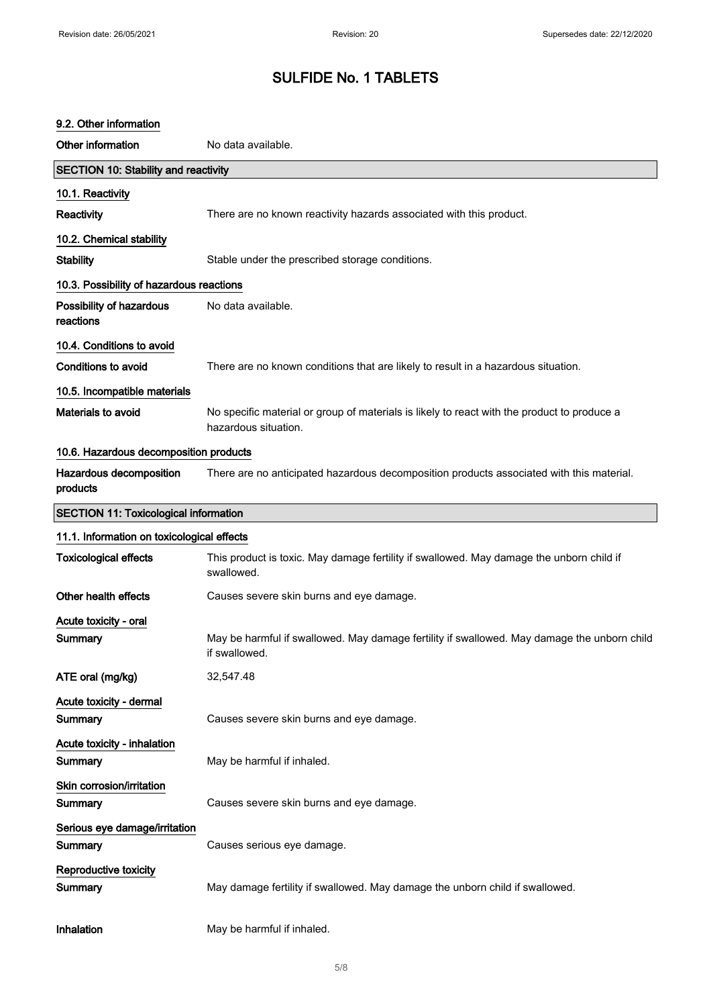| 9.2. Other information                       |                                                                                                                     |
|----------------------------------------------|---------------------------------------------------------------------------------------------------------------------|
| Other information                            | No data available.                                                                                                  |
| <b>SECTION 10: Stability and reactivity</b>  |                                                                                                                     |
| 10.1. Reactivity                             |                                                                                                                     |
| <b>Reactivity</b>                            | There are no known reactivity hazards associated with this product.                                                 |
| 10.2. Chemical stability                     |                                                                                                                     |
| <b>Stability</b>                             | Stable under the prescribed storage conditions.                                                                     |
| 10.3. Possibility of hazardous reactions     |                                                                                                                     |
| Possibility of hazardous<br>reactions        | No data available.                                                                                                  |
| 10.4. Conditions to avoid                    |                                                                                                                     |
| <b>Conditions to avoid</b>                   | There are no known conditions that are likely to result in a hazardous situation.                                   |
| 10.5. Incompatible materials                 |                                                                                                                     |
| Materials to avoid                           | No specific material or group of materials is likely to react with the product to produce a<br>hazardous situation. |
| 10.6. Hazardous decomposition products       |                                                                                                                     |
| Hazardous decomposition<br>products          | There are no anticipated hazardous decomposition products associated with this material.                            |
| <b>SECTION 11: Toxicological information</b> |                                                                                                                     |
| 11.1. Information on toxicological effects   |                                                                                                                     |
| <b>Toxicological effects</b>                 | This product is toxic. May damage fertility if swallowed. May damage the unborn child if<br>swallowed.              |
| Other health effects                         | Causes severe skin burns and eye damage.                                                                            |
| Acute toxicity - oral                        |                                                                                                                     |
| Summary                                      | May be harmful if swallowed. May damage fertility if swallowed. May damage the unborn child<br>if swallowed.        |
| ATE oral (mg/kg)                             | 32,547.48                                                                                                           |
| Acute toxicity - dermal<br>Summary           | Causes severe skin burns and eye damage.                                                                            |
| Acute toxicity - inhalation                  |                                                                                                                     |
| Summary                                      | May be harmful if inhaled.                                                                                          |
| Skin corrosion/irritation                    |                                                                                                                     |
| Summary                                      | Causes severe skin burns and eye damage.                                                                            |
| Serious eye damage/irritation                |                                                                                                                     |
| Summary                                      | Causes serious eye damage.                                                                                          |
| Reproductive toxicity<br>Summary             | May damage fertility if swallowed. May damage the unborn child if swallowed.                                        |
| Inhalation                                   | May be harmful if inhaled.                                                                                          |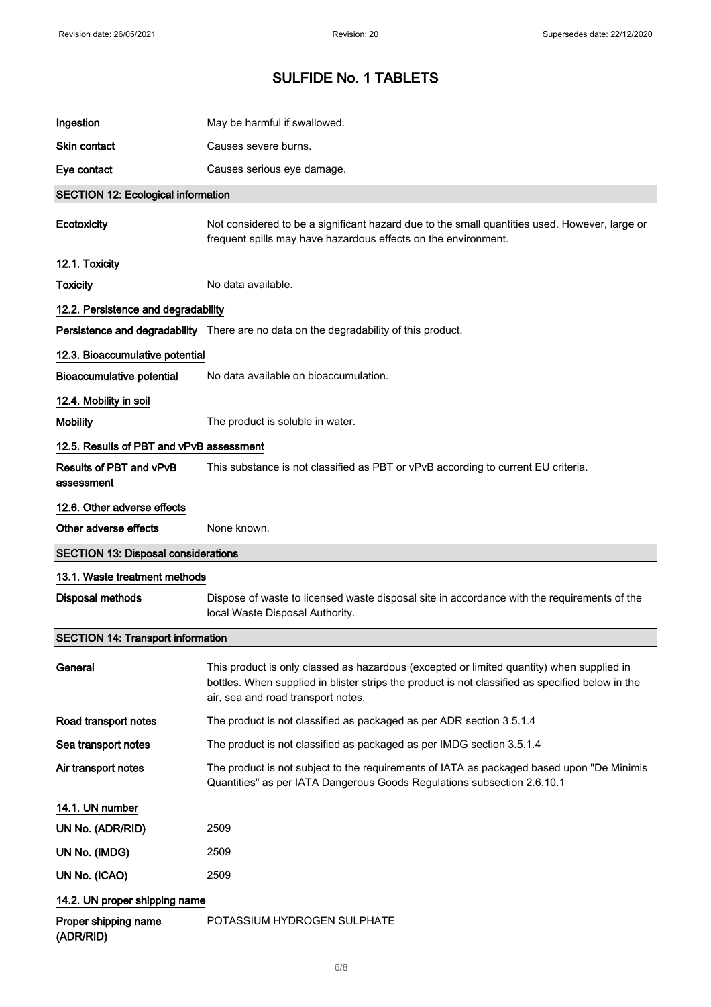| Ingestion                                  | May be harmful if swallowed.                                                                                                                                                                                                        |
|--------------------------------------------|-------------------------------------------------------------------------------------------------------------------------------------------------------------------------------------------------------------------------------------|
| <b>Skin contact</b>                        | Causes severe burns.                                                                                                                                                                                                                |
| Eye contact                                | Causes serious eye damage.                                                                                                                                                                                                          |
| <b>SECTION 12: Ecological information</b>  |                                                                                                                                                                                                                                     |
| Ecotoxicity                                | Not considered to be a significant hazard due to the small quantities used. However, large or<br>frequent spills may have hazardous effects on the environment.                                                                     |
| 12.1. Toxicity                             |                                                                                                                                                                                                                                     |
| <b>Toxicity</b>                            | No data available.                                                                                                                                                                                                                  |
| 12.2. Persistence and degradability        |                                                                                                                                                                                                                                     |
|                                            | Persistence and degradability There are no data on the degradability of this product.                                                                                                                                               |
| 12.3. Bioaccumulative potential            |                                                                                                                                                                                                                                     |
| <b>Bioaccumulative potential</b>           | No data available on bioaccumulation.                                                                                                                                                                                               |
| 12.4. Mobility in soil                     |                                                                                                                                                                                                                                     |
| <b>Mobility</b>                            | The product is soluble in water.                                                                                                                                                                                                    |
| 12.5. Results of PBT and vPvB assessment   |                                                                                                                                                                                                                                     |
| Results of PBT and vPvB<br>assessment      | This substance is not classified as PBT or vPvB according to current EU criteria.                                                                                                                                                   |
| 12.6. Other adverse effects                |                                                                                                                                                                                                                                     |
| Other adverse effects                      | None known.                                                                                                                                                                                                                         |
|                                            |                                                                                                                                                                                                                                     |
| <b>SECTION 13: Disposal considerations</b> |                                                                                                                                                                                                                                     |
| 13.1. Waste treatment methods              |                                                                                                                                                                                                                                     |
| <b>Disposal methods</b>                    | Dispose of waste to licensed waste disposal site in accordance with the requirements of the<br>local Waste Disposal Authority.                                                                                                      |
| <b>SECTION 14: Transport information</b>   |                                                                                                                                                                                                                                     |
| General                                    | This product is only classed as hazardous (excepted or limited quantity) when supplied in<br>bottles. When supplied in blister strips the product is not classified as specified below in the<br>air, sea and road transport notes. |
| Road transport notes                       | The product is not classified as packaged as per ADR section 3.5.1.4                                                                                                                                                                |
| Sea transport notes                        | The product is not classified as packaged as per IMDG section 3.5.1.4                                                                                                                                                               |
| Air transport notes                        | The product is not subject to the requirements of IATA as packaged based upon "De Minimis<br>Quantities" as per IATA Dangerous Goods Regulations subsection 2.6.10.1                                                                |
| 14.1. UN number                            |                                                                                                                                                                                                                                     |
| UN No. (ADR/RID)                           | 2509                                                                                                                                                                                                                                |
| UN No. (IMDG)                              | 2509                                                                                                                                                                                                                                |
| UN No. (ICAO)                              | 2509                                                                                                                                                                                                                                |
| 14.2. UN proper shipping name              |                                                                                                                                                                                                                                     |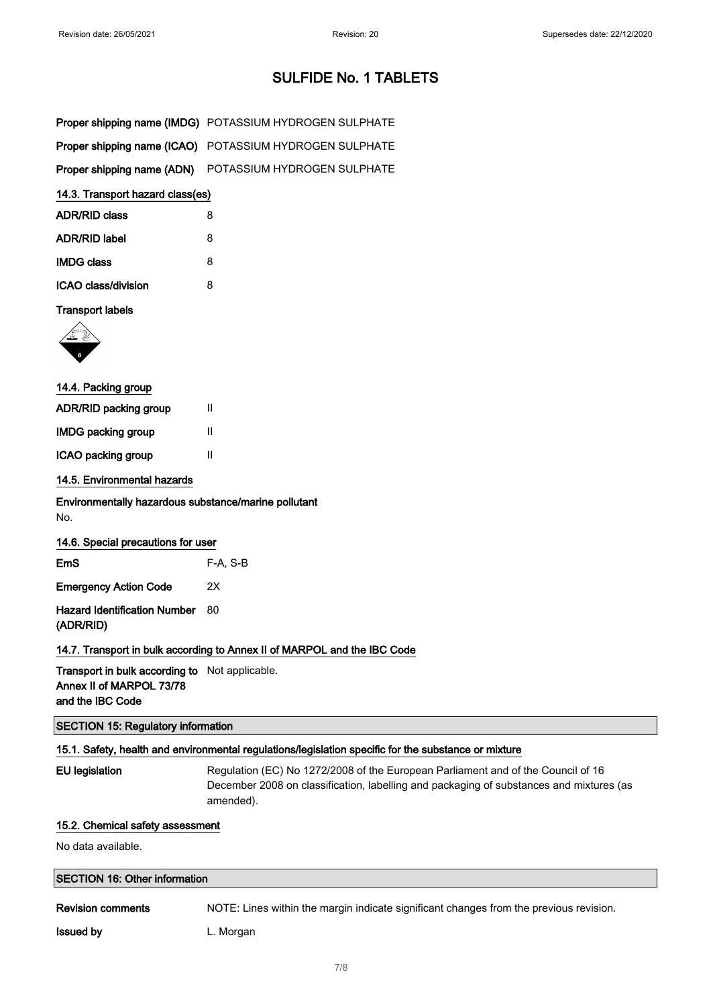| Proper shipping name (IMDG) POTASSIUM HYDROGEN SULPHATE |
|---------------------------------------------------------|
| Proper shipping name (ICAO) POTASSIUM HYDROGEN SULPHATE |
| Proper shipping name (ADN) POTASSIUM HYDROGEN SULPHATE  |

## 14.3. Transport hazard class(es)

| <b>ADR/RID class</b> | 8 |
|----------------------|---|
| <b>ADR/RID label</b> | 8 |
| <b>IMDG class</b>    | 8 |
| ICAO class/division  | я |

## Transport labels



| 14.4. Packing group          |   |  |
|------------------------------|---|--|
| <b>ADR/RID packing group</b> | Ш |  |
| <b>IMDG packing group</b>    | Ш |  |
| ICAO packing group           | Ш |  |
|                              |   |  |

## 14.5. Environmental hazards

Environmentally hazardous substance/marine pollutant No.

## 14.6. Special precautions for user

| <b>Emergency Action Code</b><br>2X                  |  |
|-----------------------------------------------------|--|
| <b>Hazard Identification Number</b> 80<br>(ADR/RID) |  |

## 14.7. Transport in bulk according to Annex II of MARPOL and the IBC Code

Transport in bulk according to Not applicable. Annex II of MARPOL 73/78 and the IBC Code

## SECTION 15: Regulatory information

## 15.1. Safety, health and environmental regulations/legislation specific for the substance or mixture

EU legislation Regulation (EC) No 1272/2008 of the European Parliament and of the Council of 16 December 2008 on classification, labelling and packaging of substances and mixtures (as amended).

## 15.2. Chemical safety assessment

No data available.

#### SECTION 16: Other information

Revision comments NOTE: Lines within the margin indicate significant changes from the previous revision.

**Issued by Community** L. Morgan